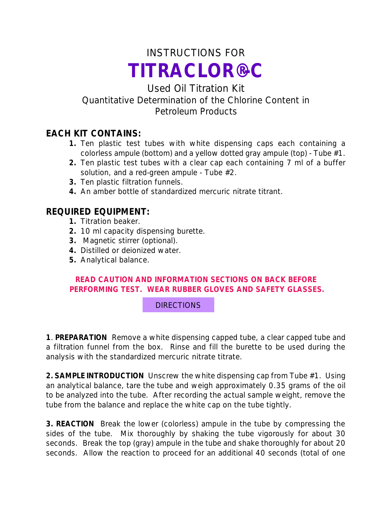# INSTRUCTIONS FOR *TITRACLOR®-C*

# Used Oil Titration Kit Quantitative Determination of the Chlorine Content in Petroleum Products

## **EACH KIT CONTAINS:**

- **1.** Ten plastic test tubes with white dispensing caps each containing a colorless ampule (bottom) and a yellow dotted gray ampule (top) - Tube #1.
- **2.** Ten plastic test tubes with a clear cap each containing 7 ml of a buffer solution, and a red-green ampule - Tube #2.
- **3.** Ten plastic filtration funnels.
- **4.** An amber bottle of standardized mercuric nitrate titrant.

## **REQUIRED EQUIPMENT:**

- **1.** Titration beaker.
- **2.** 10 ml capacity dispensing burette.
- **3.** Magnetic stirrer (optional).
- **4.** Distilled or deionized water.
- **5.** Analytical balance.

#### **READ CAUTION AND INFORMATION SECTIONS ON BACK BEFORE PERFORMING TEST. WEAR RUBBER GLOVES AND SAFETY GLASSES.**

### DIRECTIONS

**1**. **PREPARATION** Remove a white dispensing capped tube, a clear capped tube and a filtration funnel from the box. Rinse and fill the burette to be used during the analysis with the standardized mercuric nitrate titrate.

**2. SAMPLE INTRODUCTION** Unscrew the white dispensing cap from Tube #1. Using an analytical balance, tare the tube and weigh approximately 0.35 grams of the oil to be analyzed into the tube. After recording the actual sample weight, remove the tube from the balance and replace the white cap on the tube tightly.

**3. REACTION** Break the lower (colorless) ampule in the tube by compressing the sides of the tube. Mix thoroughly by shaking the tube vigorously for about 30 seconds. Break the top (gray) ampule in the tube and shake thoroughly for about 20 seconds. Allow the reaction to proceed for an additional 40 seconds (total of one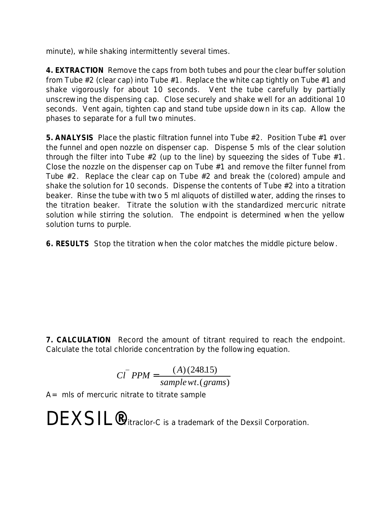minute), while shaking intermittently several times.

**4. EXTRACTION** Remove the caps from both tubes and pour the clear buffer solution from Tube  $#2$  (clear cap) into Tube  $#1$ . Replace the white cap tightly on Tube  $#1$  and shake vigorously for about 10 seconds. Vent the tube carefully by partially unscrewing the dispensing cap. Close securely and shake well for an additional 10 seconds. Vent again, tighten cap and stand tube upside down in its cap. Allow the phases to separate for a full two minutes.

**5. ANALYSIS** Place the plastic filtration funnel into Tube #2. Position Tube #1 over the funnel and open nozzle on dispenser cap. Dispense 5 mls of the clear solution through the filter into Tube #2 (up to the line) by squeezing the sides of Tube #1. Close the nozzle on the dispenser cap on Tube #1 and remove the filter funnel from Tube #2. Replace the clear cap on Tube #2 and break the (colored) ampule and shake the solution for 10 seconds. Dispense the contents of Tube #2 into a titration beaker. Rinse the tube with two 5 ml aliquots of distilled water, adding the rinses to the titration beaker. Titrate the solution with the standardized mercuric nitrate solution while stirring the solution. The endpoint is determined when the yellow solution turns to purple.

**6. RESULTS** Stop the titration when the color matches the middle picture below.

**7. CALCULATION** Record the amount of titrant required to reach the endpoint. Calculate the total chloride concentration by the following equation.

$$
CI- PPM = \frac{(A)(248.15)}{sample \, wt. (grams)}
$$

 $A=$  mls of mercuric nitrate to titrate sample

DEXSIL<sup>®</sup>Titraclor-C is a trademark of the Dexsil Corporation.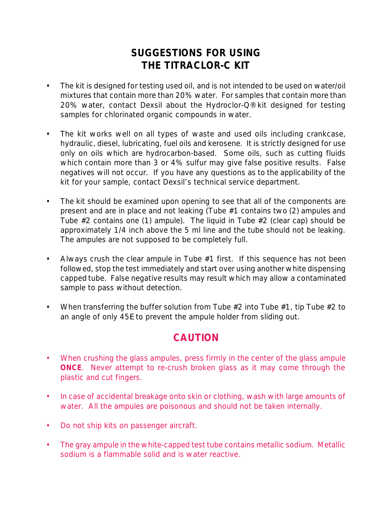# **SUGGESTIONS FOR USING THE TITRACLOR-C KIT**

- The kit is designed for testing used oil, and is not intended to be used on water/oil mixtures that contain more than 20% water. For samples that contain more than 20% water, contact Dexsil about the Hydroclor-Q® kit designed for testing samples for chlorinated organic compounds in water.
- The kit works well on all types of waste and used oils including crankcase, hydraulic, diesel, lubricating, fuel oils and kerosene. It is strictly designed for use only on oils which are hydrocarbon-based. Some oils, such as cutting fluids which contain more than 3 or 4% sulfur may give false positive results. False negatives will not occur. If you have any questions as to the applicability of the kit for your sample, contact Dexsil's technical service department.
- The kit should be examined upon opening to see that all of the components are present and are in place and not leaking (Tube #1 contains two (2) ampules and Tube #2 contains one (1) ampule). The liquid in Tube #2 (clear cap) should be approximately 1/4 inch above the 5 ml line and the tube should not be leaking. The ampules are not supposed to be completely full.
- Always crush the clear ampule in Tube  $#1$  first. If this sequence has not been followed, stop the test immediately and start over using another white dispensing capped tube. False negative results may result which may allow a contaminated sample to pass without detection.
- When transferring the buffer solution from Tube  $#2$  into Tube  $#1$ , tip Tube  $#2$  to an angle of only 45E to prevent the ampule holder from sliding out.

# **CAUTION**

- When crushing the glass ampules, press firmly in the center of the glass ampule **ONCE**. Never attempt to re-crush broken glass as it may come through the plastic and cut fingers.
- In case of accidental breakage onto skin or clothing, wash with large amounts of water. All the ampules are poisonous and should not be taken internally.
- Do not ship kits on passenger aircraft.
- The gray ampule in the white-capped test tube contains metallic sodium. Metallic sodium is a flammable solid and is water reactive.